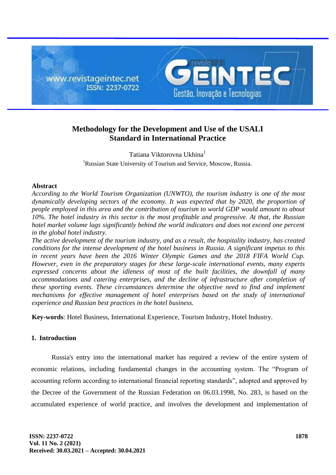

# **Methodology for the Development and Use of the USALI Standard in International Practice**

Tatiana Viktorovna Ukhina<sup>1</sup> <sup>1</sup>Russian State University of Tourism and Service, Moscow, Russia.

### **Abstract**

*According to the World Tourism Organization (UNWTO), the tourism industry is one of the most dynamically developing sectors of the economy. It was expected that by 2020, the proportion of people employed in this area and the contribution of tourism to world GDP would amount to about 10%. The hotel industry in this sector is the most profitable and progressive. At that, the Russian hotel market volume lags significantly behind the world indicators and does not exceed one percent in the global hotel industry.*

*The active development of the tourism industry, and as a result, the hospitality industry, has created conditions for the intense development of the hotel business in Russia. A significant impetus to this in recent years have been the 2016 Winter Olympic Games and the 2018 FIFA World Cup. However, even in the preparatory stages for these large-scale international events, many experts expressed concerns about the idleness of most of the built facilities, the downfall of many accommodations and catering enterprises, and the decline of infrastructure after completion of these sporting events. These circumstances determine the objective need to find and implement mechanisms for effective management of hotel enterprises based on the study of international experience and Russian best practices in the hotel business.*

**Key-words**: Hotel Business, International Experience, Tourism Industry, Hotel Industry.

## **1. Introduction**

Russia's entry into the international market has required a review of the entire system of economic relations, including fundamental changes in the accounting system. The "Program of accounting reform according to international financial reporting standards", adopted and approved by the Decree of the Government of the Russian Federation on 06.03.1998, No. 283, is based on the accumulated experience of world practice, and involves the development and implementation of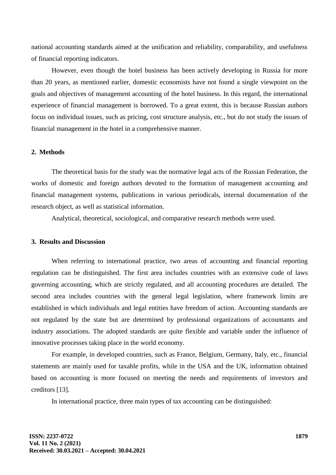national accounting standards aimed at the unification and reliability, comparability, and usefulness of financial reporting indicators.

However, even though the hotel business has been actively developing in Russia for more than 20 years, as mentioned earlier, domestic economists have not found a single viewpoint on the goals and objectives of management accounting of the hotel business. In this regard, the international experience of financial management is borrowed. To a great extent, this is because Russian authors focus on individual issues, such as pricing, cost structure analysis, etc., but do not study the issues of financial management in the hotel in a comprehensive manner.

#### **2. Methods**

The theoretical basis for the study was the normative legal acts of the Russian Federation, the works of domestic and foreign authors devoted to the formation of management accounting and financial management systems, publications in various periodicals, internal documentation of the research object, as well as statistical information.

Analytical, theoretical, sociological, and comparative research methods were used.

## **3. Results and Discussion**

When referring to international practice, two areas of accounting and financial reporting regulation can be distinguished. The first area includes countries with an extensive code of laws governing accounting, which are strictly regulated, and all accounting procedures are detailed. The second area includes countries with the general legal legislation, where framework limits are established in which individuals and legal entities have freedom of action. Accounting standards are not regulated by the state but are determined by professional organizations of accountants and industry associations. The adopted standards are quite flexible and variable under the influence of innovative processes taking place in the world economy.

For example, in developed countries, such as France, Belgium, Germany, Italy, etc., financial statements are mainly used for taxable profits, while in the USA and the UK, information obtained based on accounting is more focused on meeting the needs and requirements of investors and creditors [13].

In international practice, three main types of tax accounting can be distinguished: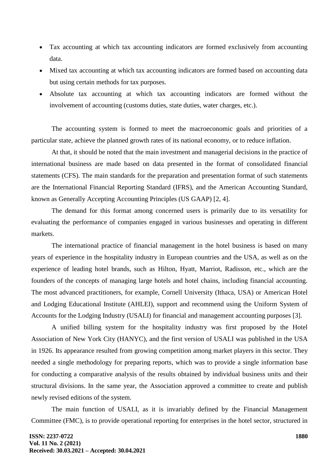- Tax accounting at which tax accounting indicators are formed exclusively from accounting data.
- Mixed tax accounting at which tax accounting indicators are formed based on accounting data but using certain methods for tax purposes.
- Absolute tax accounting at which tax accounting indicators are formed without the involvement of accounting (customs duties, state duties, water charges, etc.).

The accounting system is formed to meet the macroeconomic goals and priorities of a particular state, achieve the planned growth rates of its national economy, or to reduce inflation.

At that, it should be noted that the main investment and managerial decisions in the practice of international business are made based on data presented in the format of consolidated financial statements (CFS). The main standards for the preparation and presentation format of such statements are the International Financial Reporting Standard (IFRS), and the American Accounting Standard, known as Generally Accepting Accounting Principles (US GAAP) [2, 4].

The demand for this format among concerned users is primarily due to its versatility for evaluating the performance of companies engaged in various businesses and operating in different markets.

The international practice of financial management in the hotel business is based on many years of experience in the hospitality industry in European countries and the USA, as well as on the experience of leading hotel brands, such as Hilton, Hyatt, Marriot, Radisson, etc., which are the founders of the concepts of managing large hotels and hotel chains, including financial accounting. The most advanced practitioners, for example, Cornell University (Ithaca, USA) or American Hotel and Lodging Educational Institute (AHLEI), support and recommend using the Uniform System of Accounts for the Lodging Industry (USALI) for financial and management accounting purposes [3].

A unified billing system for the hospitality industry was first proposed by the Hotel Association of New York City (HANYC), and the first version of USALI was published in the USA in 1926. Its appearance resulted from growing competition among market players in this sector. They needed a single methodology for preparing reports, which was to provide a single information base for conducting a comparative analysis of the results obtained by individual business units and their structural divisions. In the same year, the Association approved a committee to create and publish newly revised editions of the system.

The main function of USALI, as it is invariably defined by the Financial Management Committee (FMC), is to provide operational reporting for enterprises in the hotel sector, structured in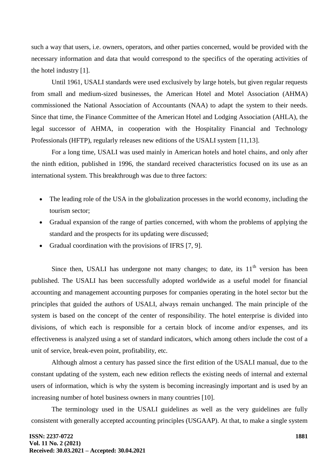such a way that users, i.e. owners, operators, and other parties concerned, would be provided with the necessary information and data that would correspond to the specifics of the operating activities of the hotel industry [1].

Until 1961, USALI standards were used exclusively by large hotels, but given regular requests from small and medium-sized businesses, the American Hotel and Motel Association (AHMA) commissioned the National Association of Accountants (NAA) to adapt the system to their needs. Since that time, the Finance Committee of the American Hotel and Lodging Association (AHLA), the legal successor of AHMA, in cooperation with the Hospitality Financial and Technology Professionals (HFTP), regularly releases new editions of the USALI system [11,13].

For a long time, USALI was used mainly in American hotels and hotel chains, and only after the ninth edition, published in 1996, the standard received characteristics focused on its use as an international system. This breakthrough was due to three factors:

- The leading role of the USA in the globalization processes in the world economy, including the tourism sector;
- Gradual expansion of the range of parties concerned, with whom the problems of applying the standard and the prospects for its updating were discussed;
- Gradual coordination with the provisions of IFRS [7, 9].

Since then, USALI has undergone not many changes; to date, its  $11<sup>th</sup>$  version has been published. The USALI has been successfully adopted worldwide as a useful model for financial accounting and management accounting purposes for companies operating in the hotel sector but the principles that guided the authors of USALI, always remain unchanged. The main principle of the system is based on the concept of the center of responsibility. The hotel enterprise is divided into divisions, of which each is responsible for a certain block of income and/or expenses, and its effectiveness is analyzed using a set of standard indicators, which among others include the cost of a unit of service, break-even point, profitability, etc.

Although almost a century has passed since the first edition of the USALI manual, due to the constant updating of the system, each new edition reflects the existing needs of internal and external users of information, which is why the system is becoming increasingly important and is used by an increasing number of hotel business owners in many countries [10].

The terminology used in the USALI guidelines as well as the very guidelines are fully consistent with generally accepted accounting principles (USGAAP). At that, to make a single system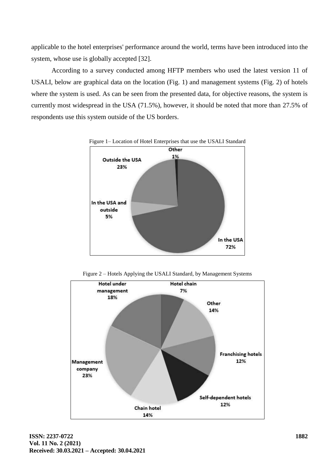applicable to the hotel enterprises' performance around the world, terms have been introduced into the system, whose use is globally accepted [32].

According to a survey conducted among HFTP members who used the latest version 11 of USALI, below are graphical data on the location (Fig. 1) and management systems (Fig. 2) of hotels where the system is used. As can be seen from the presented data, for objective reasons, the system is currently most widespread in the USA (71.5%), however, it should be noted that more than 27.5% of respondents use this system outside of the US borders.



Figure 2 – Hotels Applying the USALI Standard, by Management Systems

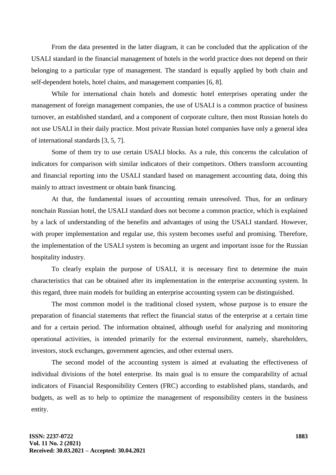From the data presented in the latter diagram, it can be concluded that the application of the USALI standard in the financial management of hotels in the world practice does not depend on their belonging to a particular type of management. The standard is equally applied by both chain and self-dependent hotels, hotel chains, and management companies [6, 8].

While for international chain hotels and domestic hotel enterprises operating under the management of foreign management companies, the use of USALI is a common practice of business turnover, an established standard, and a component of corporate culture, then most Russian hotels do not use USALI in their daily practice. Most private Russian hotel companies have only a general idea of international standards [3, 5, 7].

Some of them try to use certain USALI blocks. As a rule, this concerns the calculation of indicators for comparison with similar indicators of their competitors. Others transform accounting and financial reporting into the USALI standard based on management accounting data, doing this mainly to attract investment or obtain bank financing.

At that, the fundamental issues of accounting remain unresolved. Thus, for an ordinary nonchain Russian hotel, the USALI standard does not become a common practice, which is explained by a lack of understanding of the benefits and advantages of using the USALI standard. However, with proper implementation and regular use, this system becomes useful and promising. Therefore, the implementation of the USALI system is becoming an urgent and important issue for the Russian hospitality industry.

To clearly explain the purpose of USALI, it is necessary first to determine the main characteristics that can be obtained after its implementation in the enterprise accounting system. In this regard, three main models for building an enterprise accounting system can be distinguished.

The most common model is the traditional closed system, whose purpose is to ensure the preparation of financial statements that reflect the financial status of the enterprise at a certain time and for a certain period. The information obtained, although useful for analyzing and monitoring operational activities, is intended primarily for the external environment, namely, shareholders, investors, stock exchanges, government agencies, and other external users.

The second model of the accounting system is aimed at evaluating the effectiveness of individual divisions of the hotel enterprise. Its main goal is to ensure the comparability of actual indicators of Financial Responsibility Centers (FRC) according to established plans, standards, and budgets, as well as to help to optimize the management of responsibility centers in the business entity.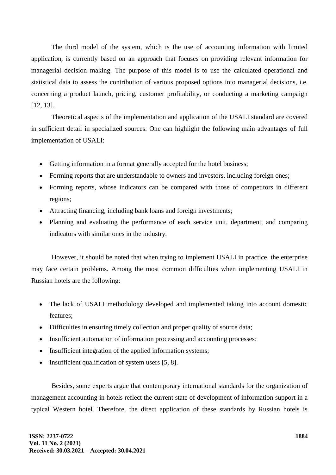The third model of the system, which is the use of accounting information with limited application, is currently based on an approach that focuses on providing relevant information for managerial decision making. The purpose of this model is to use the calculated operational and statistical data to assess the contribution of various proposed options into managerial decisions, i.e. concerning a product launch, pricing, customer profitability, or conducting a marketing campaign [12, 13].

Theoretical aspects of the implementation and application of the USALI standard are covered in sufficient detail in specialized sources. One can highlight the following main advantages of full implementation of USALI:

- Getting information in a format generally accepted for the hotel business;
- Forming reports that are understandable to owners and investors, including foreign ones;
- Forming reports, whose indicators can be compared with those of competitors in different regions;
- Attracting financing, including bank loans and foreign investments;
- Planning and evaluating the performance of each service unit, department, and comparing indicators with similar ones in the industry.

However, it should be noted that when trying to implement USALI in practice, the enterprise may face certain problems. Among the most common difficulties when implementing USALI in Russian hotels are the following:

- The lack of USALI methodology developed and implemented taking into account domestic features;
- Difficulties in ensuring timely collection and proper quality of source data;
- Insufficient automation of information processing and accounting processes;
- Insufficient integration of the applied information systems;
- Insufficient qualification of system users [5, 8].

Besides, some experts argue that contemporary international standards for the organization of management accounting in hotels reflect the current state of development of information support in a typical Western hotel. Therefore, the direct application of these standards by Russian hotels is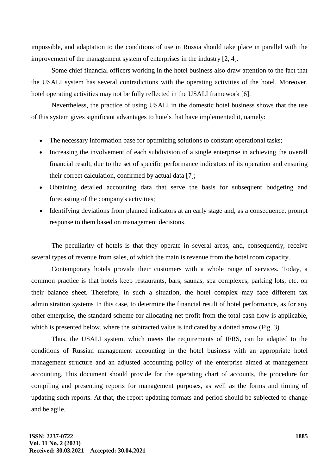impossible, and adaptation to the conditions of use in Russia should take place in parallel with the improvement of the management system of enterprises in the industry [2, 4].

Some chief financial officers working in the hotel business also draw attention to the fact that the USALI system has several contradictions with the operating activities of the hotel. Moreover, hotel operating activities may not be fully reflected in the USALI framework [6].

Nevertheless, the practice of using USALI in the domestic hotel business shows that the use of this system gives significant advantages to hotels that have implemented it, namely:

- The necessary information base for optimizing solutions to constant operational tasks;
- Increasing the involvement of each subdivision of a single enterprise in achieving the overall financial result, due to the set of specific performance indicators of its operation and ensuring their correct calculation, confirmed by actual data [7];
- Obtaining detailed accounting data that serve the basis for subsequent budgeting and forecasting of the company's activities;
- Identifying deviations from planned indicators at an early stage and, as a consequence, prompt response to them based on management decisions.

The peculiarity of hotels is that they operate in several areas, and, consequently, receive several types of revenue from sales, of which the main is revenue from the hotel room capacity.

Contemporary hotels provide their customers with a whole range of services. Today, a common practice is that hotels keep restaurants, bars, saunas, spa complexes, parking lots, etc. on their balance sheet. Therefore, in such a situation, the hotel complex may face different tax administration systems. In this case, to determine the financial result of hotel performance, as for any other enterprise, the standard scheme for allocating net profit from the total cash flow is applicable, which is presented below, where the subtracted value is indicated by a dotted arrow (Fig. 3).

Thus, the USALI system, which meets the requirements of IFRS, can be adapted to the conditions of Russian management accounting in the hotel business with an appropriate hotel management structure and an adjusted accounting policy of the enterprise aimed at management accounting. This document should provide for the operating chart of accounts, the procedure for compiling and presenting reports for management purposes, as well as the forms and timing of updating such reports. At that, the report updating formats and period should be subjected to change and be agile.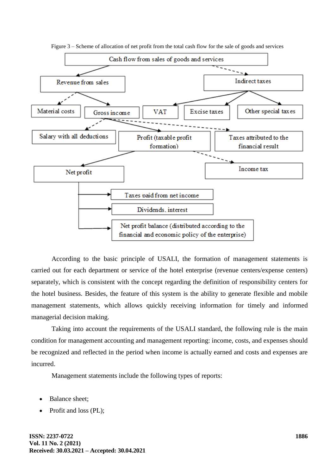

Figure 3 – Scheme of allocation of net profit from the total cash flow for the sale of goods and services

According to the basic principle of USALI, the formation of management statements is carried out for each department or service of the hotel enterprise (revenue centers/expense centers) separately, which is consistent with the concept regarding the definition of responsibility centers for the hotel business. Besides, the feature of this system is the ability to generate flexible and mobile management statements, which allows quickly receiving information for timely and informed managerial decision making.

Taking into account the requirements of the USALI standard, the following rule is the main condition for management accounting and management reporting: income, costs, and expenses should be recognized and reflected in the period when income is actually earned and costs and expenses are incurred.

Management statements include the following types of reports:

- Balance sheet;
- Profit and loss (PL);

**ISSN: 2237-0722 Vol. 11 No. 2 (2021) Received: 30.03.2021 – Accepted: 30.04.2021**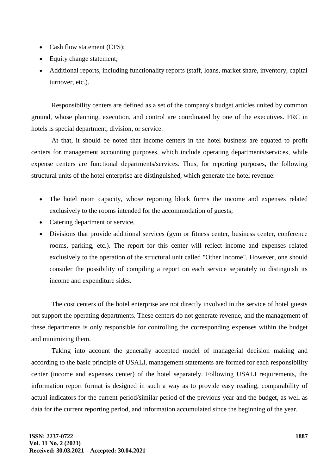- Cash flow statement (CFS):
- Equity change statement;
- Additional reports, including functionality reports (staff, loans, market share, inventory, capital turnover, etc.).

Responsibility centers are defined as a set of the company's budget articles united by common ground, whose planning, execution, and control are coordinated by one of the executives. FRC in hotels is special department, division, or service.

At that, it should be noted that income centers in the hotel business are equated to profit centers for management accounting purposes, which include operating departments/services, while expense centers are functional departments/services. Thus, for reporting purposes, the following structural units of the hotel enterprise are distinguished, which generate the hotel revenue:

- The hotel room capacity, whose reporting block forms the income and expenses related exclusively to the rooms intended for the accommodation of guests;
- Catering department or service,
- Divisions that provide additional services (gym or fitness center, business center, conference rooms, parking, etc.). The report for this center will reflect income and expenses related exclusively to the operation of the structural unit called "Other Income". However, one should consider the possibility of compiling a report on each service separately to distinguish its income and expenditure sides.

The cost centers of the hotel enterprise are not directly involved in the service of hotel guests but support the operating departments. These centers do not generate revenue, and the management of these departments is only responsible for controlling the corresponding expenses within the budget and minimizing them.

Taking into account the generally accepted model of managerial decision making and according to the basic principle of USALI, management statements are formed for each responsibility center (income and expenses center) of the hotel separately. Following USALI requirements, the information report format is designed in such a way as to provide easy reading, comparability of actual indicators for the current period/similar period of the previous year and the budget, as well as data for the current reporting period, and information accumulated since the beginning of the year.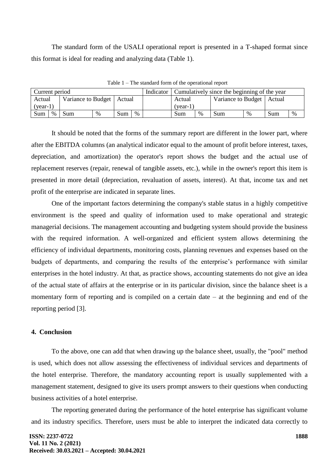The standard form of the USALI operational report is presented in a T-shaped format since this format is ideal for reading and analyzing data (Table 1).

| Current period                        |  |     |   |     |      | Indicator | Cumulatively since the beginning of the year |                             |     |   |     |      |
|---------------------------------------|--|-----|---|-----|------|-----------|----------------------------------------------|-----------------------------|-----|---|-----|------|
| Variance to Budget   Actual<br>Actual |  |     |   |     |      | Actual    |                                              | Variance to Budget   Actual |     |   |     |      |
| $(year-1)$                            |  |     |   |     |      |           | (vear-1)                                     |                             |     |   |     |      |
| $\%$<br>Sum                           |  | Sum | % | Sum | $\%$ |           | Sum                                          | %                           | Sum | % | Sum | $\%$ |

Table 1 – The standard form of the operational report

It should be noted that the forms of the summary report are different in the lower part, where after the EBITDA columns (an analytical indicator equal to the amount of profit before interest, taxes, depreciation, and amortization) the operator's report shows the budget and the actual use of replacement reserves (repair, renewal of tangible assets, etc.), while in the owner's report this item is presented in more detail (depreciation, revaluation of assets, interest). At that, income tax and net profit of the enterprise are indicated in separate lines.

One of the important factors determining the company's stable status in a highly competitive environment is the speed and quality of information used to make operational and strategic managerial decisions. The management accounting and budgeting system should provide the business with the required information. A well-organized and efficient system allows determining the efficiency of individual departments, monitoring costs, planning revenues and expenses based on the budgets of departments, and comparing the results of the enterprise's performance with similar enterprises in the hotel industry. At that, as practice shows, accounting statements do not give an idea of the actual state of affairs at the enterprise or in its particular division, since the balance sheet is a momentary form of reporting and is compiled on a certain date – at the beginning and end of the reporting period [3].

## **4. Conclusion**

To the above, one can add that when drawing up the balance sheet, usually, the "pool" method is used, which does not allow assessing the effectiveness of individual services and departments of the hotel enterprise. Therefore, the mandatory accounting report is usually supplemented with a management statement, designed to give its users prompt answers to their questions when conducting business activities of a hotel enterprise.

The reporting generated during the performance of the hotel enterprise has significant volume and its industry specifics. Therefore, users must be able to interpret the indicated data correctly to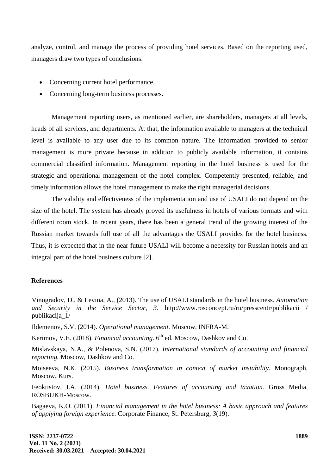analyze, control, and manage the process of providing hotel services. Based on the reporting used, managers draw two types of conclusions:

- Concerning current hotel performance.
- Concerning long-term business processes.

Management reporting users, as mentioned earlier, are shareholders, managers at all levels, heads of all services, and departments. At that, the information available to managers at the technical level is available to any user due to its common nature. The information provided to senior management is more private because in addition to publicly available information, it contains commercial classified information. Management reporting in the hotel business is used for the strategic and operational management of the hotel complex. Competently presented, reliable, and timely information allows the hotel management to make the right managerial decisions.

The validity and effectiveness of the implementation and use of USALI do not depend on the size of the hotel. The system has already proved its usefulness in hotels of various formats and with different room stock. In recent years, there has been a general trend of the growing interest of the Russian market towards full use of all the advantages the USALI provides for the hotel business. Thus, it is expected that in the near future USALI will become a necessity for Russian hotels and an integral part of the hotel business culture [2].

## **References**

Vinogradov, D., & Levina, A., (2013). The use of USALI standards in the hotel business. *Automation and Security in the Service Sector, 3*. http://www.rosconcept.ru/ru/presscentr/publikacii / publikacija\_1/

Ildemenov, S.V. (2014). *Operational management.* Moscow, INFRA-M.

Kerimov, V.E. (2018). *Financial accounting*. 6<sup>th</sup> ed. Moscow, Dashkov and Co.

Mislavskaya, N.A., & Polenova, S.N. (2017). *International standards of accounting and financial reporting.* Moscow, Dashkov and Co.

Moiseeva, N.K. (2015). *Business transformation in context of market instability.* Monograph, Moscow, Kurs.

Feoktistov, I.A. (2014). *Hotel business. Features of accounting and taxation.* Gross Media, ROSBUKH-Moscow.

Bagaeva, K.O. (2011). *Financial management in the hotel business: A basic approach and features of applying foreign experience.* Corporate Finance, St. Petersburg, *3*(19).